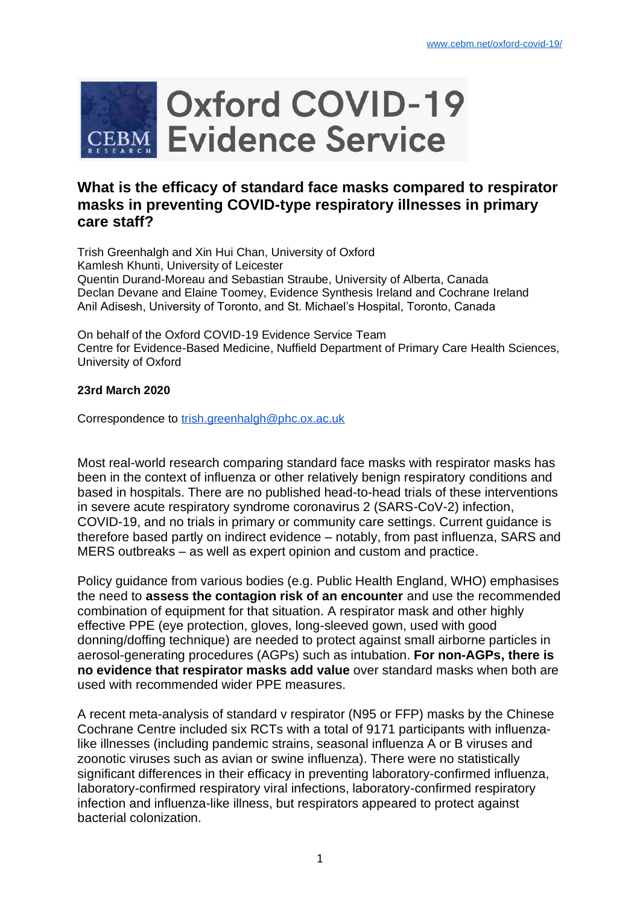

# **What is the efficacy of standard face masks compared to respirator masks in preventing COVID-type respiratory illnesses in primary care staff?**

Trish Greenhalgh and Xin Hui Chan, University of Oxford Kamlesh Khunti, University of Leicester Quentin Durand-Moreau and Sebastian Straube, University of Alberta, Canada Declan Devane and Elaine Toomey, Evidence Synthesis Ireland and Cochrane Ireland Anil Adisesh, University of Toronto, and St. Michael's Hospital, Toronto, Canada

On behalf of the Oxford COVID-19 Evidence Service Team Centre for Evidence-Based Medicine, Nuffield Department of Primary Care Health Sciences, University of Oxford

#### **23rd March 2020**

Correspondence to [trish.greenhalgh@phc.ox.ac.uk](mailto:trish.greenhalgh@phc.ox.ac.uk)

Most real-world research comparing standard face masks with respirator masks has been in the context of influenza or other relatively benign respiratory conditions and based in hospitals. There are no published head-to-head trials of these interventions in severe acute respiratory syndrome coronavirus 2 (SARS-CoV-2) infection, COVID-19, and no trials in primary or community care settings. Current guidance is therefore based partly on indirect evidence – notably, from past influenza, SARS and MERS outbreaks – as well as expert opinion and custom and practice.

Policy guidance from various bodies (e.g. Public Health England, WHO) emphasises the need to **assess the contagion risk of an encounter** and use the recommended combination of equipment for that situation. A respirator mask and other highly effective PPE (eye protection, gloves, long-sleeved gown, used with good donning/doffing technique) are needed to protect against small airborne particles in aerosol-generating procedures (AGPs) such as intubation. **For non-AGPs, there is no evidence that respirator masks add value** over standard masks when both are used with recommended wider PPE measures.

A recent meta-analysis of standard v respirator (N95 or FFP) masks by the Chinese Cochrane Centre included six RCTs with a total of 9171 participants with influenzalike illnesses (including pandemic strains, seasonal influenza A or B viruses and zoonotic viruses such as avian or swine influenza). There were no statistically significant differences in their efficacy in preventing laboratory-confirmed influenza, laboratory-confirmed respiratory viral infections, laboratory-confirmed respiratory infection and influenza-like illness, but respirators appeared to protect against bacterial colonization.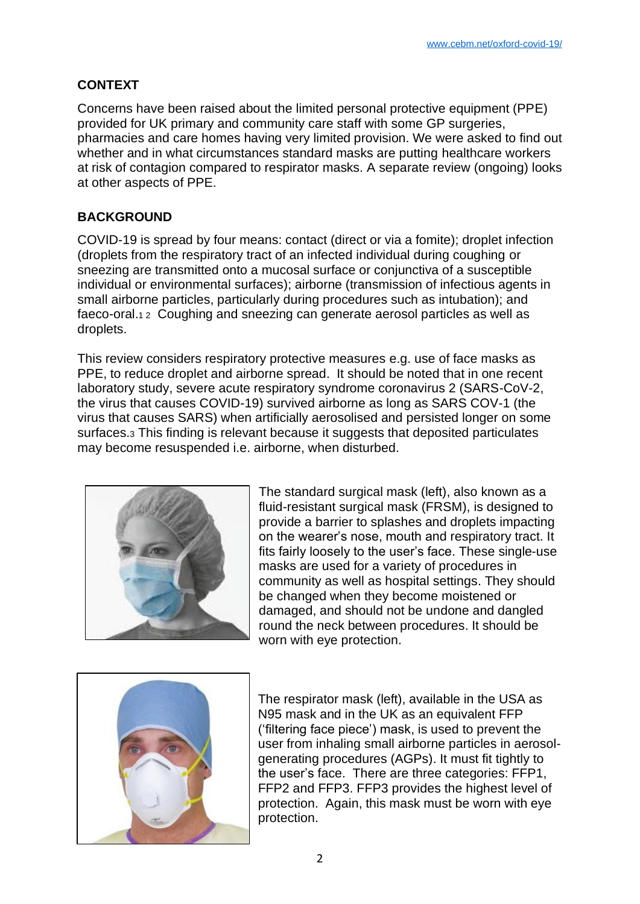# **CONTEXT**

Concerns have been raised about the limited personal protective equipment (PPE) provided for UK primary and community care staff with some GP surgeries, pharmacies and care homes having very limited provision. We were asked to find out whether and in what circumstances standard masks are putting healthcare workers at risk of contagion compared to respirator masks. A separate review (ongoing) looks at other aspects of PPE.

# **BACKGROUND**

COVID-19 is spread by four means: contact (direct or via a fomite); droplet infection (droplets from the respiratory tract of an infected individual during coughing or sneezing are transmitted onto a mucosal surface or conjunctiva of a susceptible individual or environmental surfaces); airborne (transmission of infectious agents in small airborne particles, particularly during procedures such as intubation); and faeco-oral.1 2 Coughing and sneezing can generate aerosol particles as well as droplets.

This review considers respiratory protective measures e.g. use of face masks as PPE, to reduce droplet and airborne spread. It should be noted that in one recent laboratory study, severe acute respiratory syndrome coronavirus 2 (SARS-CoV-2, the virus that causes COVID-19) survived airborne as long as SARS COV-1 (the virus that causes SARS) when artificially aerosolised and persisted longer on some surfaces.<sup>3</sup> This finding is relevant because it suggests that deposited particulates may become resuspended i.e. airborne, when disturbed.



The standard surgical mask (left), also known as a fluid-resistant surgical mask (FRSM), is designed to provide a barrier to splashes and droplets impacting on the wearer's nose, mouth and respiratory tract. It fits fairly loosely to the user's face. These single-use masks are used for a variety of procedures in community as well as hospital settings. They should be changed when they become moistened or damaged, and should not be undone and dangled round the neck between procedures. It should be worn with eye protection.



The respirator mask (left), available in the USA as N95 mask and in the UK as an equivalent FFP ('filtering face piece') mask, is used to prevent the user from inhaling small airborne particles in aerosolgenerating procedures (AGPs). It must fit tightly to the user's face. There are three categories: FFP1, FFP2 and FFP3. FFP3 provides the highest level of protection. Again, this mask must be worn with eye protection.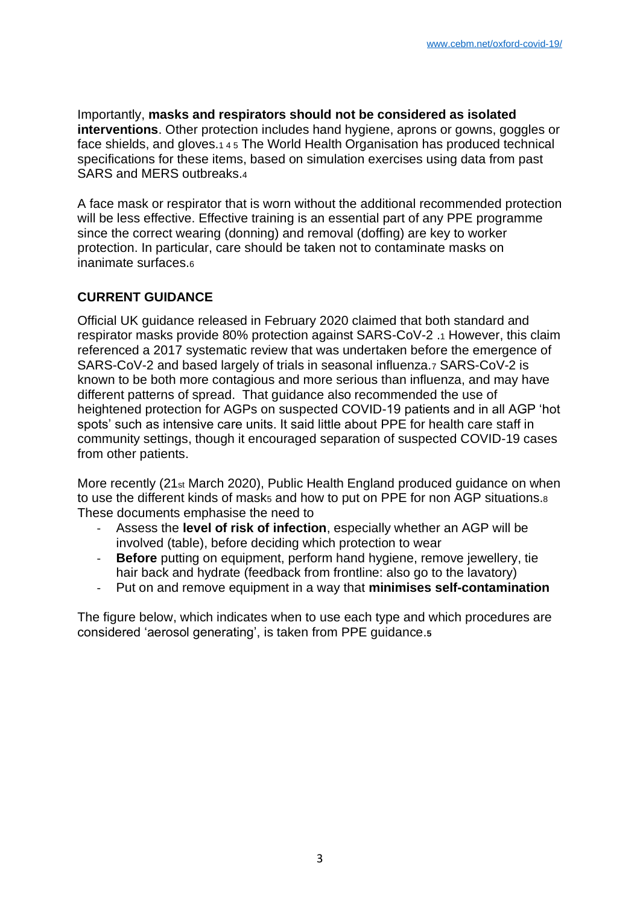Importantly, **masks and respirators should not be considered as isolated interventions**. Other protection includes hand hygiene, aprons or gowns, goggles or face shields, and gloves.1 4 5 The World Health Organisation has produced technical specifications for these items, based on simulation exercises using data from past SARS and MERS outbreaks.<sup>4</sup>

A face mask or respirator that is worn without the additional recommended protection will be less effective. Effective training is an essential part of any PPE programme since the correct wearing (donning) and removal (doffing) are key to worker protection. In particular, care should be taken not to contaminate masks on inanimate surfaces.<sup>6</sup>

### **CURRENT GUIDANCE**

Official UK guidance released in February 2020 claimed that both standard and respirator masks provide 80% protection against SARS-CoV-2 .<sup>1</sup> However, this claim referenced a 2017 systematic review that was undertaken before the emergence of SARS-CoV-2 and based largely of trials in seasonal influenza.<sup>7</sup> SARS-CoV-2 is known to be both more contagious and more serious than influenza, and may have different patterns of spread. That guidance also recommended the use of heightened protection for AGPs on suspected COVID-19 patients and in all AGP 'hot spots' such as intensive care units. It said little about PPE for health care staff in community settings, though it encouraged separation of suspected COVID-19 cases from other patients.

More recently (21st March 2020), Public Health England produced guidance on when to use the different kinds of mask<sub>5</sub> and how to put on PPE for non AGP situations.<sup>8</sup> These documents emphasise the need to

- Assess the **level of risk of infection**, especially whether an AGP will be involved (table), before deciding which protection to wear
- **Before** putting on equipment, perform hand hygiene, remove jewellery, tie hair back and hydrate (feedback from frontline: also go to the lavatory)
- Put on and remove equipment in a way that **minimises self-contamination**

The figure below, which indicates when to use each type and which procedures are considered 'aerosol generating', is taken from PPE guidance.**<sup>5</sup>**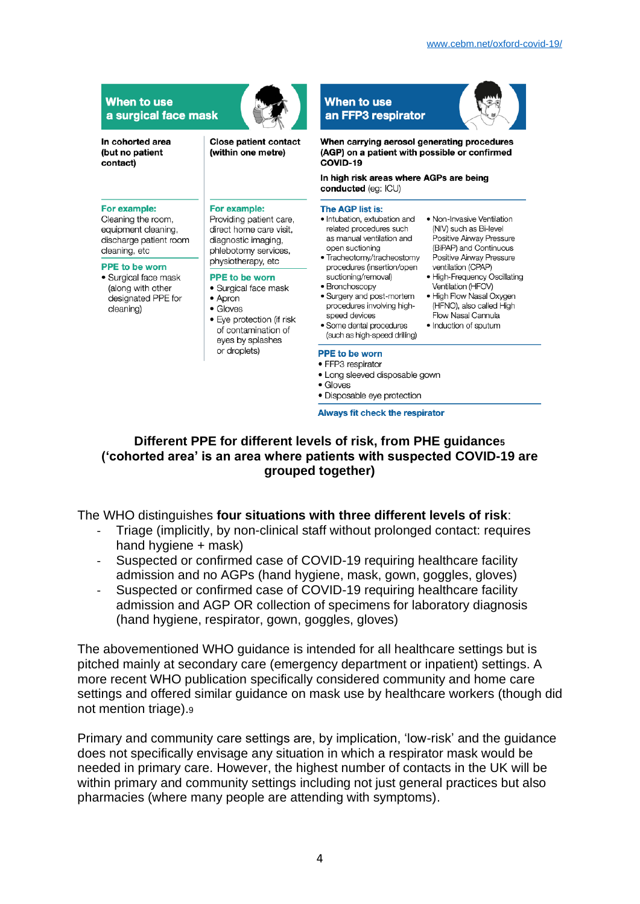| In cohorted area<br>(but no patient<br>contact)                                                       | <b>Close patient contact</b><br>(within one metre)                                                                                                                                                                                                                                                      | When carrying aerosol generating procedures<br>(AGP) on a patient with possible or confirmed<br>COVID-19<br>In high risk areas where AGPs are being<br>conducted (eq: ICU)                                   |                                                                                                                                                                                                                                                                                                                           |
|-------------------------------------------------------------------------------------------------------|---------------------------------------------------------------------------------------------------------------------------------------------------------------------------------------------------------------------------------------------------------------------------------------------------------|--------------------------------------------------------------------------------------------------------------------------------------------------------------------------------------------------------------|---------------------------------------------------------------------------------------------------------------------------------------------------------------------------------------------------------------------------------------------------------------------------------------------------------------------------|
|                                                                                                       |                                                                                                                                                                                                                                                                                                         |                                                                                                                                                                                                              |                                                                                                                                                                                                                                                                                                                           |
| For example:<br>Cleaning the room,<br>equipment cleaning,<br>discharge patient room<br>cleaning, etc  | For example:<br>Providing patient care,<br>direct home care visit.<br>diagnostic imaging,<br>phlebotomy services,<br>physiotherapy, etc<br><b>PPE to be worn</b><br>• Surgical face mask<br>$\bullet$ Apron<br>$\bullet$ Gloves<br>• Eye protection (if risk<br>of contamination of<br>eyes by splashes | The AGP list is:<br>• Intubation, extubation and<br>related procedures such<br>as manual ventilation and<br>open suctioning<br>• Tracheotomy/tracheostomy                                                    | • Non-Invasive Ventilation<br>(NIV) such as Bi-level<br>Positive Airway Pressure<br>(BiPAP) and Continuous<br>Positive Airway Pressure<br>ventilation (CPAP)<br>• High-Frequency Oscillating<br>Ventilation (HFOV)<br>• High Flow Nasal Oxygen<br>(HFNO), also called High<br>Flow Nasal Cannula<br>• Induction of sputum |
| <b>PPE to be worn</b><br>• Surgical face mask<br>(along with other<br>designated PPE for<br>cleaning) |                                                                                                                                                                                                                                                                                                         | procedures (insertion/open<br>suctioning/removal)<br>• Bronchoscopy<br>• Surgery and post-mortem<br>procedures involving high-<br>speed devices<br>• Some dental procedures<br>(such as high-speed drilling) |                                                                                                                                                                                                                                                                                                                           |

Always fit check the respirator

### **Different PPE for different levels of risk, from PHE guidance<sup>5</sup> ('cohorted area' is an area where patients with suspected COVID-19 are grouped together)**

#### The WHO distinguishes **four situations with three different levels of risk**:

- Triage (implicitly, by non-clinical staff without prolonged contact: requires hand hygiene + mask)
- Suspected or confirmed case of COVID-19 requiring healthcare facility admission and no AGPs (hand hygiene, mask, gown, goggles, gloves)
- Suspected or confirmed case of COVID-19 requiring healthcare facility admission and AGP OR collection of specimens for laboratory diagnosis (hand hygiene, respirator, gown, goggles, gloves)

The abovementioned WHO guidance is intended for all healthcare settings but is pitched mainly at secondary care (emergency department or inpatient) settings. A more recent WHO publication specifically considered community and home care settings and offered similar guidance on mask use by healthcare workers (though did not mention triage).<sup>9</sup>

Primary and community care settings are, by implication, 'low-risk' and the guidance does not specifically envisage any situation in which a respirator mask would be needed in primary care. However, the highest number of contacts in the UK will be within primary and community settings including not just general practices but also pharmacies (where many people are attending with symptoms).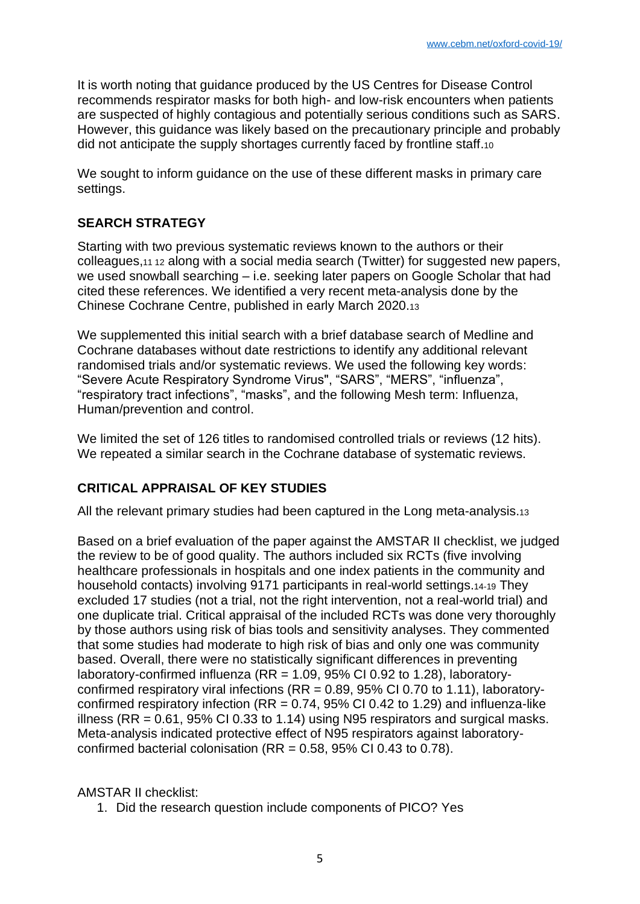It is worth noting that guidance produced by the US Centres for Disease Control recommends respirator masks for both high- and low-risk encounters when patients are suspected of highly contagious and potentially serious conditions such as SARS. However, this guidance was likely based on the precautionary principle and probably did not anticipate the supply shortages currently faced by frontline staff.<sup>10</sup>

We sought to inform guidance on the use of these different masks in primary care settings.

## **SEARCH STRATEGY**

Starting with two previous systematic reviews known to the authors or their colleagues,11 12 along with a social media search (Twitter) for suggested new papers, we used snowball searching – i.e. seeking later papers on Google Scholar that had cited these references. We identified a very recent meta-analysis done by the Chinese Cochrane Centre, published in early March 2020.<sup>13</sup>

We supplemented this initial search with a brief database search of Medline and Cochrane databases without date restrictions to identify any additional relevant randomised trials and/or systematic reviews. We used the following key words: "Severe Acute Respiratory Syndrome Virus", "SARS", "MERS", "influenza", "respiratory tract infections", "masks", and the following Mesh term: Influenza, Human/prevention and control.

We limited the set of 126 titles to randomised controlled trials or reviews (12 hits). We repeated a similar search in the Cochrane database of systematic reviews.

## **CRITICAL APPRAISAL OF KEY STUDIES**

All the relevant primary studies had been captured in the Long meta-analysis.<sup>13</sup>

Based on a brief evaluation of the paper against the AMSTAR II checklist, we judged the review to be of good quality. The authors included six RCTs (five involving healthcare professionals in hospitals and one index patients in the community and household contacts) involving 9171 participants in real-world settings.14-19 They excluded 17 studies (not a trial, not the right intervention, not a real-world trial) and one duplicate trial. Critical appraisal of the included RCTs was done very thoroughly by those authors using risk of bias tools and sensitivity analyses. They commented that some studies had moderate to high risk of bias and only one was community based. Overall, there were no statistically significant differences in preventing laboratory-confirmed influenza (RR =  $1.09$ , 95% CI 0.92 to 1.28), laboratoryconfirmed respiratory viral infections ( $RR = 0.89$ , 95% CI 0.70 to 1.11), laboratoryconfirmed respiratory infection ( $RR = 0.74$ , 95% CI 0.42 to 1.29) and influenza-like illness (RR =  $0.61$ , 95% CI 0.33 to 1.14) using N95 respirators and surgical masks. Meta-analysis indicated protective effect of N95 respirators against laboratoryconfirmed bacterial colonisation ( $RR = 0.58$ ,  $95\%$  CI 0.43 to 0.78).

AMSTAR II checklist:

1. Did the research question include components of PICO? Yes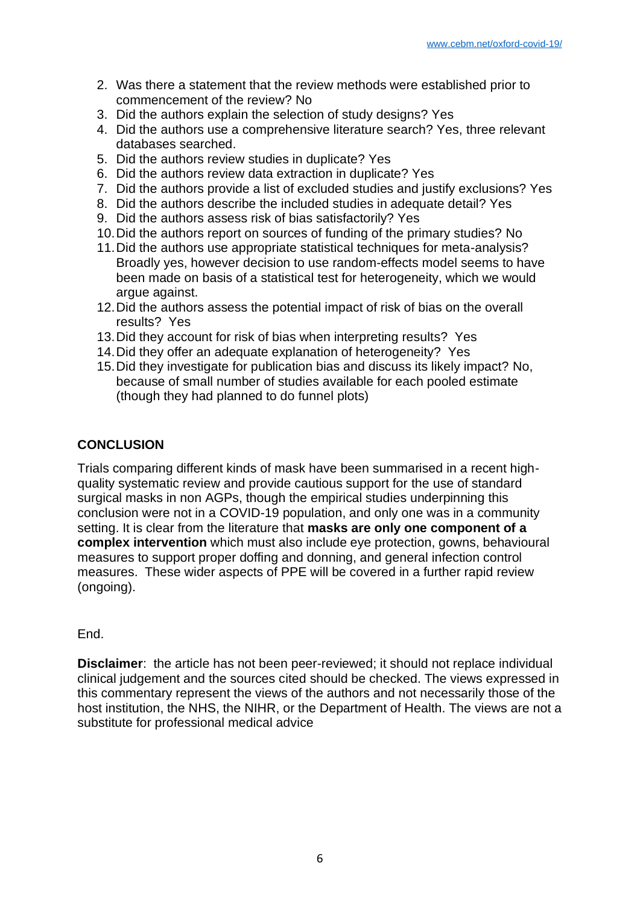- 2. Was there a statement that the review methods were established prior to commencement of the review? No
- 3. Did the authors explain the selection of study designs? Yes
- 4. Did the authors use a comprehensive literature search? Yes, three relevant databases searched.
- 5. Did the authors review studies in duplicate? Yes
- 6. Did the authors review data extraction in duplicate? Yes
- 7. Did the authors provide a list of excluded studies and justify exclusions? Yes
- 8. Did the authors describe the included studies in adequate detail? Yes
- 9. Did the authors assess risk of bias satisfactorily? Yes
- 10.Did the authors report on sources of funding of the primary studies? No
- 11.Did the authors use appropriate statistical techniques for meta-analysis? Broadly yes, however decision to use random-effects model seems to have been made on basis of a statistical test for heterogeneity, which we would argue against.
- 12.Did the authors assess the potential impact of risk of bias on the overall results? Yes
- 13.Did they account for risk of bias when interpreting results? Yes
- 14.Did they offer an adequate explanation of heterogeneity? Yes
- 15.Did they investigate for publication bias and discuss its likely impact? No, because of small number of studies available for each pooled estimate (though they had planned to do funnel plots)

## **CONCLUSION**

Trials comparing different kinds of mask have been summarised in a recent highquality systematic review and provide cautious support for the use of standard surgical masks in non AGPs, though the empirical studies underpinning this conclusion were not in a COVID-19 population, and only one was in a community setting. It is clear from the literature that **masks are only one component of a complex intervention** which must also include eye protection, gowns, behavioural measures to support proper doffing and donning, and general infection control measures. These wider aspects of PPE will be covered in a further rapid review (ongoing).

## End.

**Disclaimer**: the article has not been peer-reviewed; it should not replace individual clinical judgement and the sources cited should be checked. The views expressed in this commentary represent the views of the authors and not necessarily those of the host institution, the NHS, the NIHR, or the Department of Health. The views are not a substitute for professional medical advice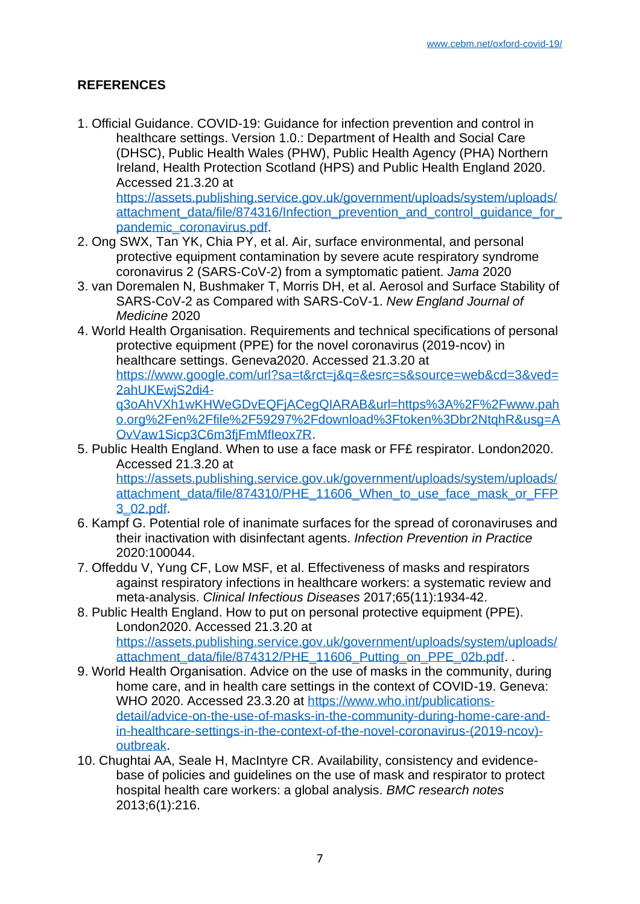## **REFERENCES**

1. Official Guidance. COVID-19: Guidance for infection prevention and control in healthcare settings. Version 1.0.: Department of Health and Social Care (DHSC), Public Health Wales (PHW), Public Health Agency (PHA) Northern Ireland, Health Protection Scotland (HPS) and Public Health England 2020. Accessed 21.3.20 at [https://assets.publishing.service.gov.uk/government/uploads/system/uploads/](https://assets.publishing.service.gov.uk/government/uploads/system/uploads/attachment_data/file/874316/Infection_prevention_and_control_guidance_for_pandemic_coronavirus.pdf) [attachment\\_data/file/874316/Infection\\_prevention\\_and\\_control\\_guidance\\_for\\_](https://assets.publishing.service.gov.uk/government/uploads/system/uploads/attachment_data/file/874316/Infection_prevention_and_control_guidance_for_pandemic_coronavirus.pdf)

[pandemic\\_coronavirus.pdf.](https://assets.publishing.service.gov.uk/government/uploads/system/uploads/attachment_data/file/874316/Infection_prevention_and_control_guidance_for_pandemic_coronavirus.pdf)

- 2. Ong SWX, Tan YK, Chia PY, et al. Air, surface environmental, and personal protective equipment contamination by severe acute respiratory syndrome coronavirus 2 (SARS-CoV-2) from a symptomatic patient. *Jama* 2020
- 3. van Doremalen N, Bushmaker T, Morris DH, et al. Aerosol and Surface Stability of SARS-CoV-2 as Compared with SARS-CoV-1. *New England Journal of Medicine* 2020
- 4. World Health Organisation. Requirements and technical specifications of personal protective equipment (PPE) for the novel coronavirus (2019-ncov) in healthcare settings. Geneva2020. Accessed 21.3.20 at [https://www.google.com/url?sa=t&rct=j&q=&esrc=s&source=web&cd=3&ved=](https://www.google.com/url?sa=t&rct=j&q=&esrc=s&source=web&cd=3&ved=2ahUKEwjS2di4-q3oAhVXh1wKHWeGDvEQFjACegQIARAB&url=https%3A%2F%2Fwww.paho.org%2Fen%2Ffile%2F59297%2Fdownload%3Ftoken%3Dbr2NtqhR&usg=AOvVaw1Sicp3C6m3fjFmMfIeox7R) [2ahUKEwjS2di4](https://www.google.com/url?sa=t&rct=j&q=&esrc=s&source=web&cd=3&ved=2ahUKEwjS2di4-q3oAhVXh1wKHWeGDvEQFjACegQIARAB&url=https%3A%2F%2Fwww.paho.org%2Fen%2Ffile%2F59297%2Fdownload%3Ftoken%3Dbr2NtqhR&usg=AOvVaw1Sicp3C6m3fjFmMfIeox7R) [q3oAhVXh1wKHWeGDvEQFjACegQIARAB&url=https%3A%2F%2Fwww.pah](https://www.google.com/url?sa=t&rct=j&q=&esrc=s&source=web&cd=3&ved=2ahUKEwjS2di4-q3oAhVXh1wKHWeGDvEQFjACegQIARAB&url=https%3A%2F%2Fwww.paho.org%2Fen%2Ffile%2F59297%2Fdownload%3Ftoken%3Dbr2NtqhR&usg=AOvVaw1Sicp3C6m3fjFmMfIeox7R) [o.org%2Fen%2Ffile%2F59297%2Fdownload%3Ftoken%3Dbr2NtqhR&usg=A](https://www.google.com/url?sa=t&rct=j&q=&esrc=s&source=web&cd=3&ved=2ahUKEwjS2di4-q3oAhVXh1wKHWeGDvEQFjACegQIARAB&url=https%3A%2F%2Fwww.paho.org%2Fen%2Ffile%2F59297%2Fdownload%3Ftoken%3Dbr2NtqhR&usg=AOvVaw1Sicp3C6m3fjFmMfIeox7R) [OvVaw1Sicp3C6m3fjFmMfIeox7R.](https://www.google.com/url?sa=t&rct=j&q=&esrc=s&source=web&cd=3&ved=2ahUKEwjS2di4-q3oAhVXh1wKHWeGDvEQFjACegQIARAB&url=https%3A%2F%2Fwww.paho.org%2Fen%2Ffile%2F59297%2Fdownload%3Ftoken%3Dbr2NtqhR&usg=AOvVaw1Sicp3C6m3fjFmMfIeox7R)
- 5. Public Health England. When to use a face mask or FF£ respirator. London2020. Accessed 21.3.20 at [https://assets.publishing.service.gov.uk/government/uploads/system/uploads/](https://assets.publishing.service.gov.uk/government/uploads/system/uploads/attachment_data/file/874310/PHE_11606_When_to_use_face_mask_or_FFP3_02.pdf) [attachment\\_data/file/874310/PHE\\_11606\\_When\\_to\\_use\\_face\\_mask\\_or\\_FFP](https://assets.publishing.service.gov.uk/government/uploads/system/uploads/attachment_data/file/874310/PHE_11606_When_to_use_face_mask_or_FFP3_02.pdf) [3\\_02.pdf.](https://assets.publishing.service.gov.uk/government/uploads/system/uploads/attachment_data/file/874310/PHE_11606_When_to_use_face_mask_or_FFP3_02.pdf)
- 6. Kampf G. Potential role of inanimate surfaces for the spread of coronaviruses and their inactivation with disinfectant agents. *Infection Prevention in Practice* 2020:100044.
- 7. Offeddu V, Yung CF, Low MSF, et al. Effectiveness of masks and respirators against respiratory infections in healthcare workers: a systematic review and meta-analysis. *Clinical Infectious Diseases* 2017;65(11):1934-42.
- 8. Public Health England. How to put on personal protective equipment (PPE). London2020. Accessed 21.3.20 at [https://assets.publishing.service.gov.uk/government/uploads/system/uploads/](https://assets.publishing.service.gov.uk/government/uploads/system/uploads/attachment_data/file/874312/PHE_11606_Putting_on_PPE_02b.pdf) [attachment\\_data/file/874312/PHE\\_11606\\_Putting\\_on\\_PPE\\_02b.pdf.](https://assets.publishing.service.gov.uk/government/uploads/system/uploads/attachment_data/file/874312/PHE_11606_Putting_on_PPE_02b.pdf) .
- 9. World Health Organisation. Advice on the use of masks in the community, during home care, and in health care settings in the context of COVID-19. Geneva: WHO 2020. Accessed 23.3.20 at [https://www.who.int/publications](https://www.who.int/publications-detail/advice-on-the-use-of-masks-in-the-community-during-home-care-and-in-healthcare-settings-in-the-context-of-the-novel-coronavirus-(2019-ncov)-outbreak)[detail/advice-on-the-use-of-masks-in-the-community-during-home-care-and](https://www.who.int/publications-detail/advice-on-the-use-of-masks-in-the-community-during-home-care-and-in-healthcare-settings-in-the-context-of-the-novel-coronavirus-(2019-ncov)-outbreak)[in-healthcare-settings-in-the-context-of-the-novel-coronavirus-\(2019-ncov\)](https://www.who.int/publications-detail/advice-on-the-use-of-masks-in-the-community-during-home-care-and-in-healthcare-settings-in-the-context-of-the-novel-coronavirus-(2019-ncov)-outbreak) [outbreak.](https://www.who.int/publications-detail/advice-on-the-use-of-masks-in-the-community-during-home-care-and-in-healthcare-settings-in-the-context-of-the-novel-coronavirus-(2019-ncov)-outbreak)
- 10. Chughtai AA, Seale H, MacIntyre CR. Availability, consistency and evidencebase of policies and guidelines on the use of mask and respirator to protect hospital health care workers: a global analysis. *BMC research notes* 2013;6(1):216.